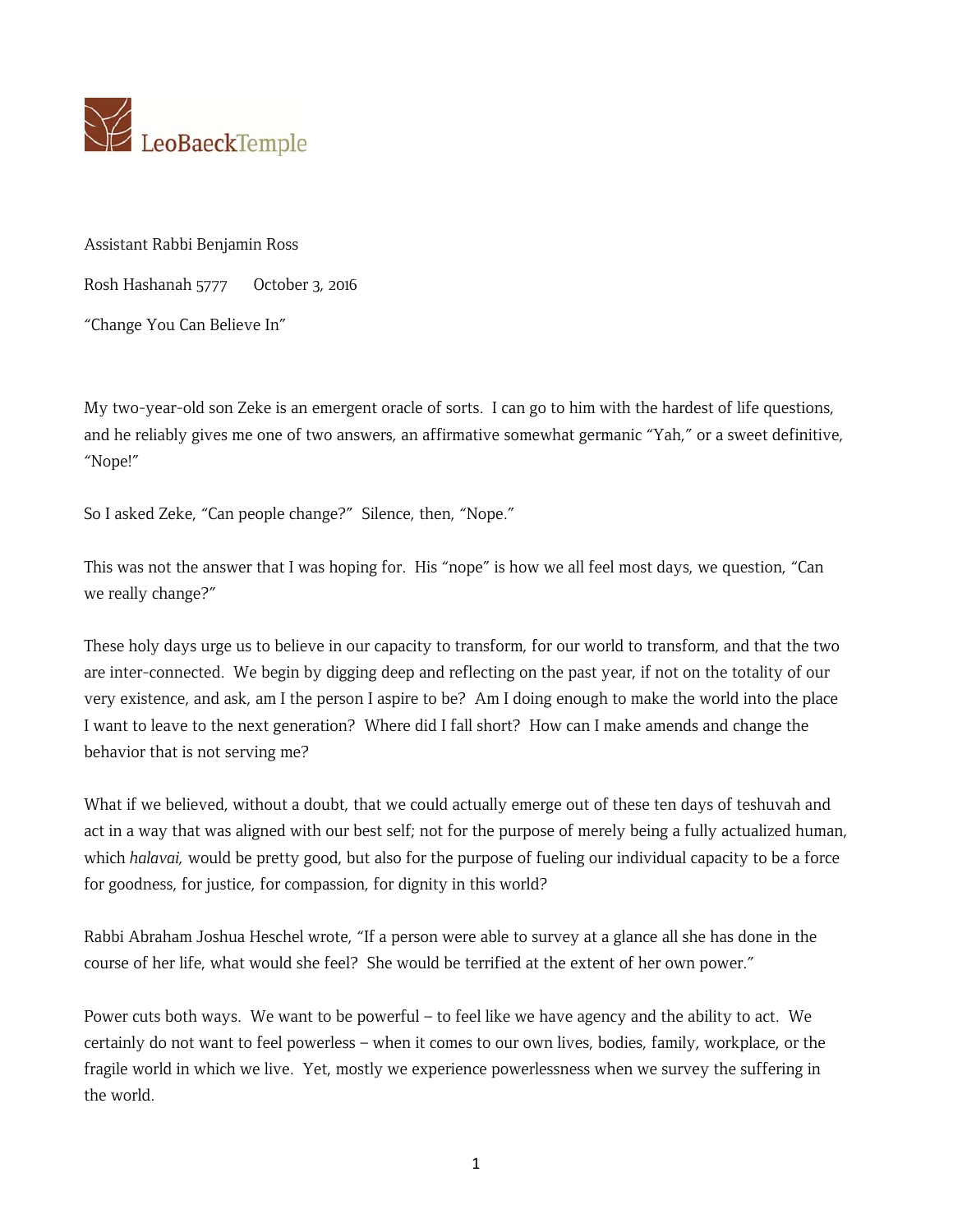

Assistant Rabbi Benjamin Ross

Rosh Hashanah 5777 October 3, 2016

"Change You Can Believe In"

My two-year-old son Zeke is an emergent oracle of sorts. I can go to him with the hardest of life questions, and he reliably gives me one of two answers, an affirmative somewhat germanic "Yah," or a sweet definitive, "Nope!"

So I asked Zeke, "Can people change?" Silence, then, "Nope."

This was not the answer that I was hoping for. His "nope" is how we all feel most days, we question, "Can we really change?"

These holy days urge us to believe in our capacity to transform, for our world to transform, and that the two are inter-connected. We begin by digging deep and reflecting on the past year, if not on the totality of our very existence, and ask, am I the person I aspire to be? Am I doing enough to make the world into the place I want to leave to the next generation? Where did I fall short? How can I make amends and change the behavior that is not serving me?

What if we believed, without a doubt, that we could actually emerge out of these ten days of teshuvah and act in a way that was aligned with our best self; not for the purpose of merely being a fully actualized human, which *halavai,* would be pretty good, but also for the purpose of fueling our individual capacity to be a force for goodness, for justice, for compassion, for dignity in this world?

Rabbi Abraham Joshua Heschel wrote, "If a person were able to survey at a glance all she has done in the course of her life, what would she feel? She would be terrified at the extent of her own power."

Power cuts both ways. We want to be powerful – to feel like we have agency and the ability to act. We certainly do not want to feel powerless – when it comes to our own lives, bodies, family, workplace, or the fragile world in which we live. Yet, mostly we experience powerlessness when we survey the suffering in the world.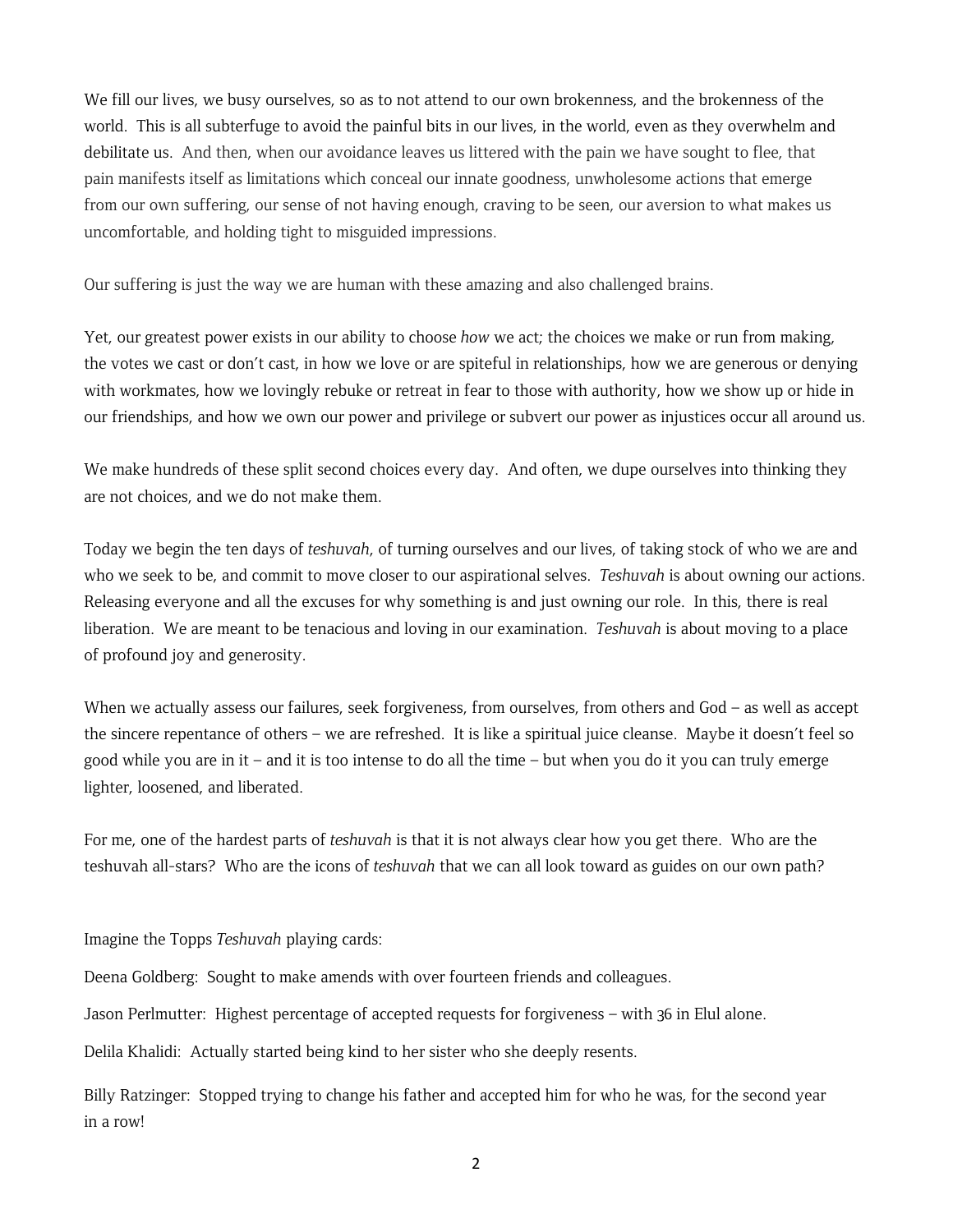We fill our lives, we busy ourselves, so as to not attend to our own brokenness, and the brokenness of the world. This is all subterfuge to avoid the painful bits in our lives, in the world, even as they overwhelm and debilitate us. And then, when our avoidance leaves us littered with the pain we have sought to flee, that pain manifests itself as limitations which conceal our innate goodness, unwholesome actions that emerge from our own suffering, our sense of not having enough, craving to be seen, our aversion to what makes us uncomfortable, and holding tight to misguided impressions.

Our suffering is just the way we are human with these amazing and also challenged brains.

Yet, our greatest power exists in our ability to choose *how* we act; the choices we make or run from making, the votes we cast or don't cast, in how we love or are spiteful in relationships, how we are generous or denying with workmates, how we lovingly rebuke or retreat in fear to those with authority, how we show up or hide in our friendships, and how we own our power and privilege or subvert our power as injustices occur all around us.

We make hundreds of these split second choices every day. And often, we dupe ourselves into thinking they are not choices, and we do not make them.

Today we begin the ten days of *teshuvah*, of turning ourselves and our lives, of taking stock of who we are and who we seek to be, and commit to move closer to our aspirational selves. *Teshuvah* is about owning our actions. Releasing everyone and all the excuses for why something is and just owning our role. In this, there is real liberation. We are meant to be tenacious and loving in our examination. *Teshuvah* is about moving to a place of profound joy and generosity.

When we actually assess our failures, seek forgiveness, from ourselves, from others and God – as well as accept the sincere repentance of others – we are refreshed. It is like a spiritual juice cleanse. Maybe it doesn't feel so good while you are in it – and it is too intense to do all the time – but when you do it you can truly emerge lighter, loosened, and liberated.

For me, one of the hardest parts of *teshuvah* is that it is not always clear how you get there. Who are the teshuvah all-stars? Who are the icons of *teshuvah* that we can all look toward as guides on our own path?

Imagine the Topps *Teshuvah* playing cards:

Deena Goldberg: Sought to make amends with over fourteen friends and colleagues.

Jason Perlmutter: Highest percentage of accepted requests for forgiveness – with 36 in Elul alone.

Delila Khalidi: Actually started being kind to her sister who she deeply resents.

Billy Ratzinger: Stopped trying to change his father and accepted him for who he was, for the second year in a row!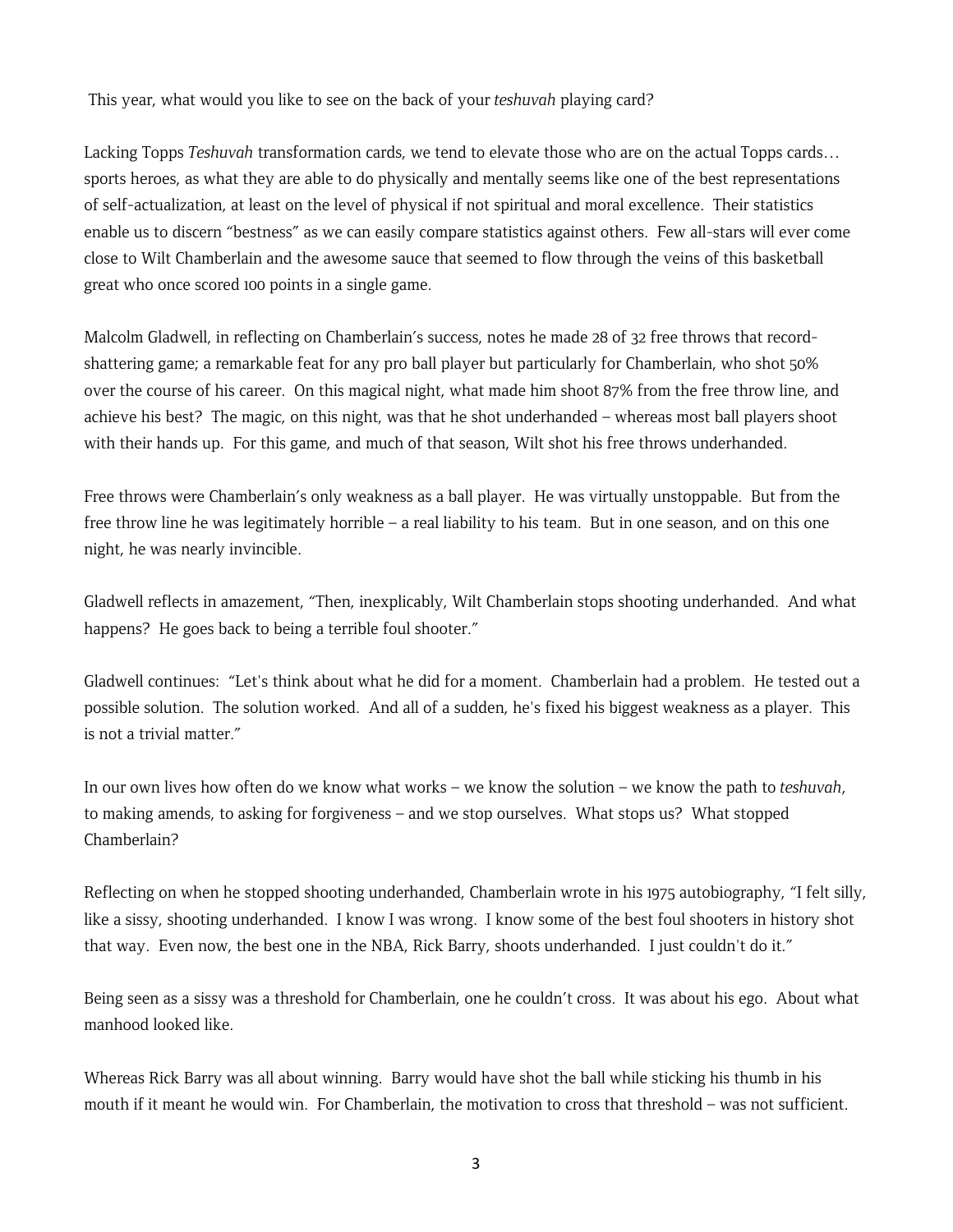This year, what would you like to see on the back of your *teshuvah* playing card?

Lacking Topps *Teshuvah* transformation cards, we tend to elevate those who are on the actual Topps cards… sports heroes, as what they are able to do physically and mentally seems like one of the best representations of self-actualization, at least on the level of physical if not spiritual and moral excellence. Their statistics enable us to discern "bestness" as we can easily compare statistics against others. Few all-stars will ever come close to Wilt Chamberlain and the awesome sauce that seemed to flow through the veins of this basketball great who once scored 100 points in a single game.

Malcolm Gladwell, in reflecting on Chamberlain's success, notes he made 28 of 32 free throws that recordshattering game; a remarkable feat for any pro ball player but particularly for Chamberlain, who shot 50% over the course of his career. On this magical night, what made him shoot 87% from the free throw line, and achieve his best? The magic, on this night, was that he shot underhanded – whereas most ball players shoot with their hands up. For this game, and much of that season, Wilt shot his free throws underhanded.

Free throws were Chamberlain's only weakness as a ball player. He was virtually unstoppable. But from the free throw line he was legitimately horrible – a real liability to his team. But in one season, and on this one night, he was nearly invincible.

Gladwell reflects in amazement, "Then, inexplicably, Wilt Chamberlain stops shooting underhanded. And what happens? He goes back to being a terrible foul shooter."

Gladwell continues: "Let's think about what he did for a moment. Chamberlain had a problem. He tested out a possible solution. The solution worked. And all of a sudden, he's fixed his biggest weakness as a player. This is not a trivial matter."

In our own lives how often do we know what works – we know the solution – we know the path to *teshuvah*, to making amends, to asking for forgiveness – and we stop ourselves. What stops us? What stopped Chamberlain?

Reflecting on when he stopped shooting underhanded, Chamberlain wrote in his 1975 autobiography, "I felt silly, like a sissy, shooting underhanded. I know I was wrong. I know some of the best foul shooters in history shot that way. Even now, the best one in the NBA, Rick Barry, shoots underhanded. I just couldn't do it."

Being seen as a sissy was a threshold for Chamberlain, one he couldn't cross. It was about his ego. About what manhood looked like.

Whereas Rick Barry was all about winning. Barry would have shot the ball while sticking his thumb in his mouth if it meant he would win. For Chamberlain, the motivation to cross that threshold – was not sufficient.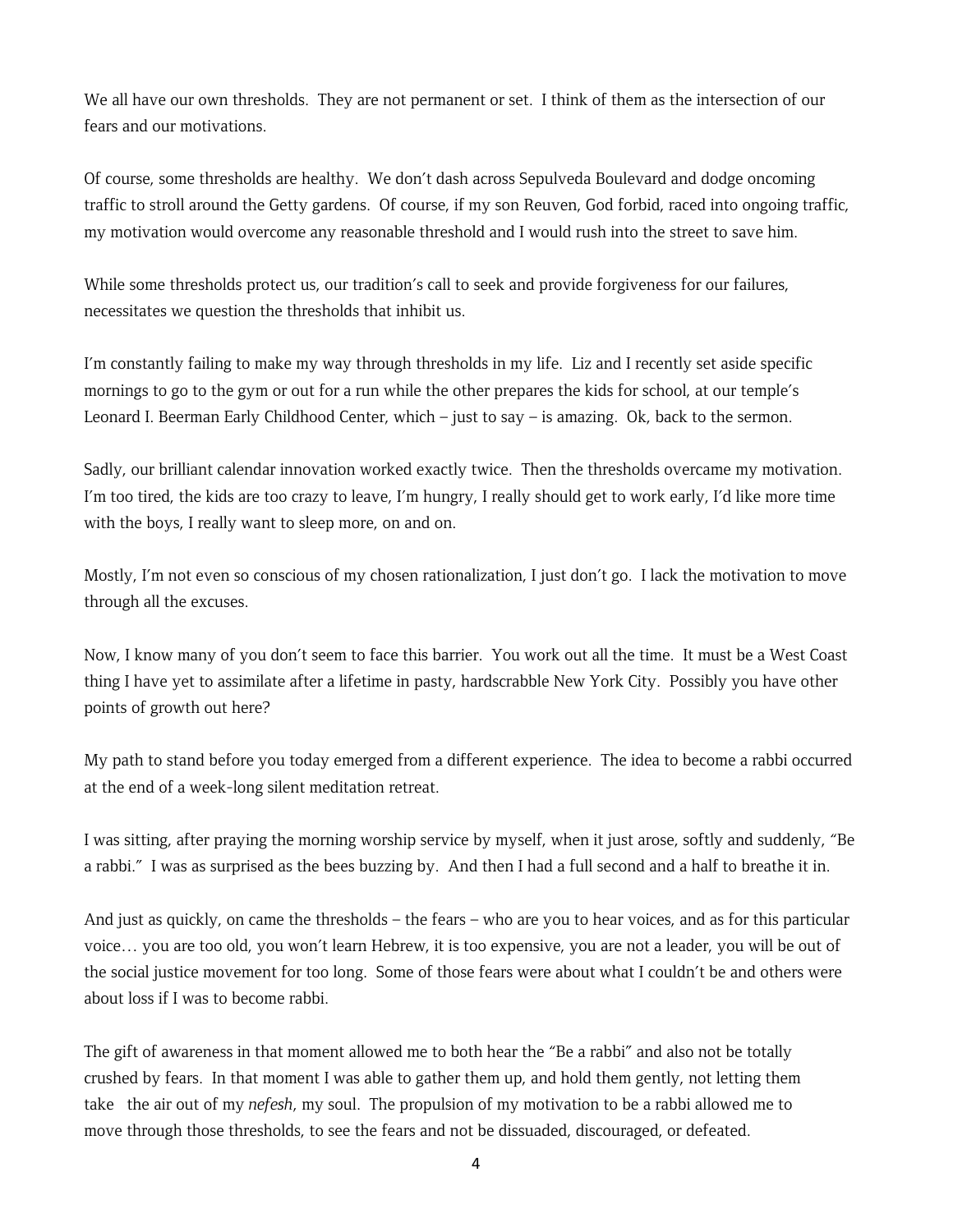We all have our own thresholds. They are not permanent or set. I think of them as the intersection of our fears and our motivations.

Of course, some thresholds are healthy. We don't dash across Sepulveda Boulevard and dodge oncoming traffic to stroll around the Getty gardens. Of course, if my son Reuven, God forbid, raced into ongoing traffic, my motivation would overcome any reasonable threshold and I would rush into the street to save him.

While some thresholds protect us, our tradition's call to seek and provide forgiveness for our failures, necessitates we question the thresholds that inhibit us.

I'm constantly failing to make my way through thresholds in my life. Liz and I recently set aside specific mornings to go to the gym or out for a run while the other prepares the kids for school, at our temple's Leonard I. Beerman Early Childhood Center, which – just to say – is amazing. Ok, back to the sermon.

Sadly, our brilliant calendar innovation worked exactly twice. Then the thresholds overcame my motivation. I'm too tired, the kids are too crazy to leave, I'm hungry, I really should get to work early, I'd like more time with the boys, I really want to sleep more, on and on.

Mostly, I'm not even so conscious of my chosen rationalization, I just don't go. I lack the motivation to move through all the excuses.

Now, I know many of you don't seem to face this barrier. You work out all the time. It must be a West Coast thing I have yet to assimilate after a lifetime in pasty, hardscrabble New York City. Possibly you have other points of growth out here?

My path to stand before you today emerged from a different experience. The idea to become a rabbi occurred at the end of a week-long silent meditation retreat.

I was sitting, after praying the morning worship service by myself, when it just arose, softly and suddenly, "Be a rabbi." I was as surprised as the bees buzzing by. And then I had a full second and a half to breathe it in.

And just as quickly, on came the thresholds – the fears – who are you to hear voices, and as for this particular voice… you are too old, you won't learn Hebrew, it is too expensive, you are not a leader, you will be out of the social justice movement for too long. Some of those fears were about what I couldn't be and others were about loss if I was to become rabbi.

The gift of awareness in that moment allowed me to both hear the "Be a rabbi" and also not be totally crushed by fears. In that moment I was able to gather them up, and hold them gently, not letting them take the air out of my *nefesh*, my soul. The propulsion of my motivation to be a rabbi allowed me to move through those thresholds, to see the fears and not be dissuaded, discouraged, or defeated.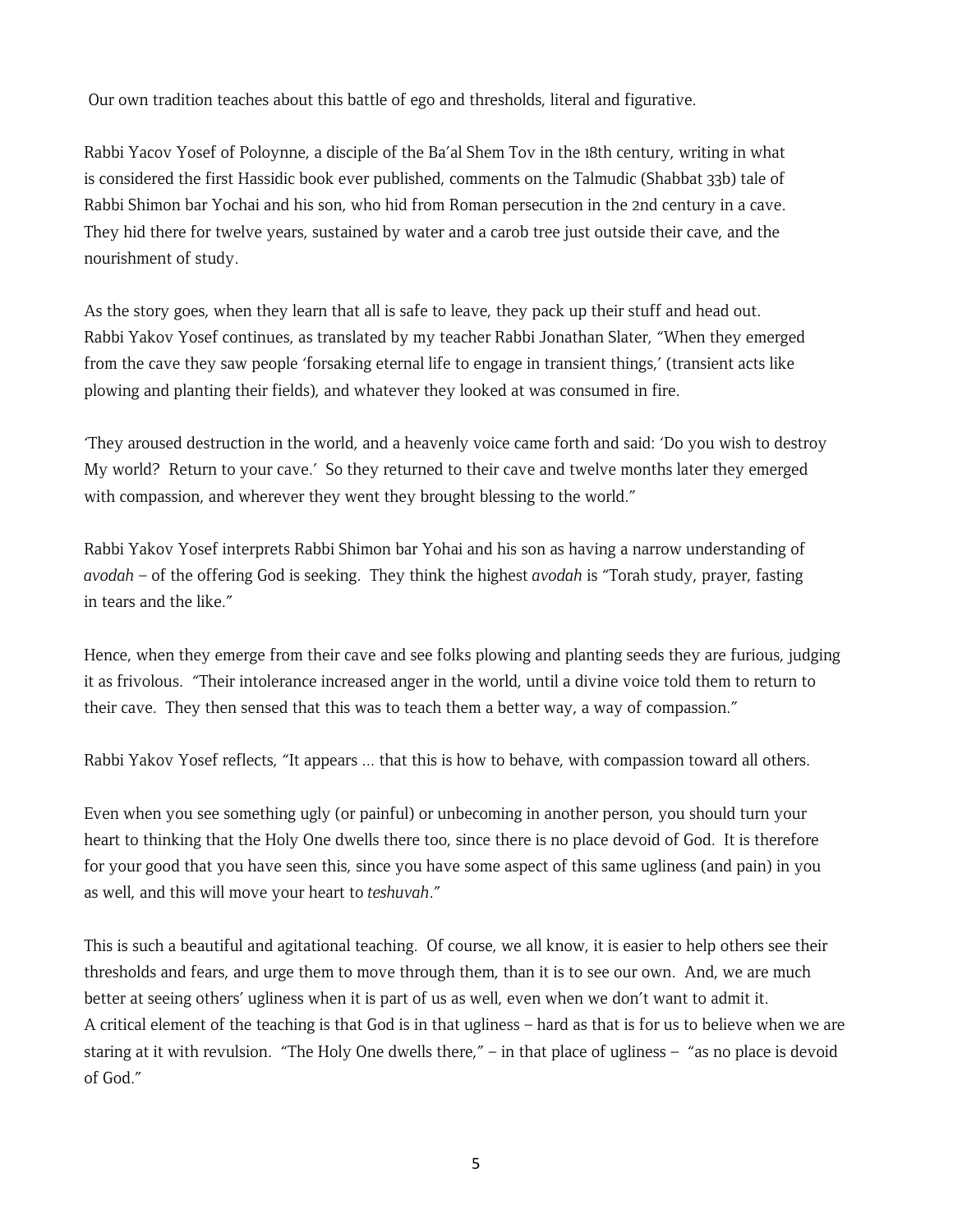Our own tradition teaches about this battle of ego and thresholds, literal and figurative.

Rabbi Yacov Yosef of Poloynne, a disciple of the Ba'al Shem Tov in the 18th century, writing in what is considered the first Hassidic book ever published, comments on the Talmudic (Shabbat 33b) tale of Rabbi Shimon bar Yochai and his son, who hid from Roman persecution in the 2nd century in a cave. They hid there for twelve years, sustained by water and a carob tree just outside their cave, and the nourishment of study.

As the story goes, when they learn that all is safe to leave, they pack up their stuff and head out. Rabbi Yakov Yosef continues, as translated by my teacher Rabbi Jonathan Slater, "When they emerged from the cave they saw people 'forsaking eternal life to engage in transient things,' (transient acts like plowing and planting their fields), and whatever they looked at was consumed in fire.

'They aroused destruction in the world, and a heavenly voice came forth and said: 'Do you wish to destroy My world? Return to your cave.' So they returned to their cave and twelve months later they emerged with compassion, and wherever they went they brought blessing to the world."

Rabbi Yakov Yosef interprets Rabbi Shimon bar Yohai and his son as having a narrow understanding of *avodah* – of the offering God is seeking. They think the highest *avodah* is "Torah study, prayer, fasting in tears and the like."

Hence, when they emerge from their cave and see folks plowing and planting seeds they are furious, judging it as frivolous. "Their intolerance increased anger in the world, until a divine voice told them to return to their cave. They then sensed that this was to teach them a better way, a way of compassion."

Rabbi Yakov Yosef reflects, "It appears ... that this is how to behave, with compassion toward all others.

Even when you see something ugly (or painful) or unbecoming in another person, you should turn your heart to thinking that the Holy One dwells there too, since there is no place devoid of God. It is therefore for your good that you have seen this, since you have some aspect of this same ugliness (and pain) in you as well, and this will move your heart to *teshuvah*."

This is such a beautiful and agitational teaching. Of course, we all know, it is easier to help others see their thresholds and fears, and urge them to move through them, than it is to see our own. And, we are much better at seeing others' ugliness when it is part of us as well, even when we don't want to admit it. A critical element of the teaching is that God is in that ugliness – hard as that is for us to believe when we are staring at it with revulsion. "The Holy One dwells there," – in that place of ugliness – "as no place is devoid of God."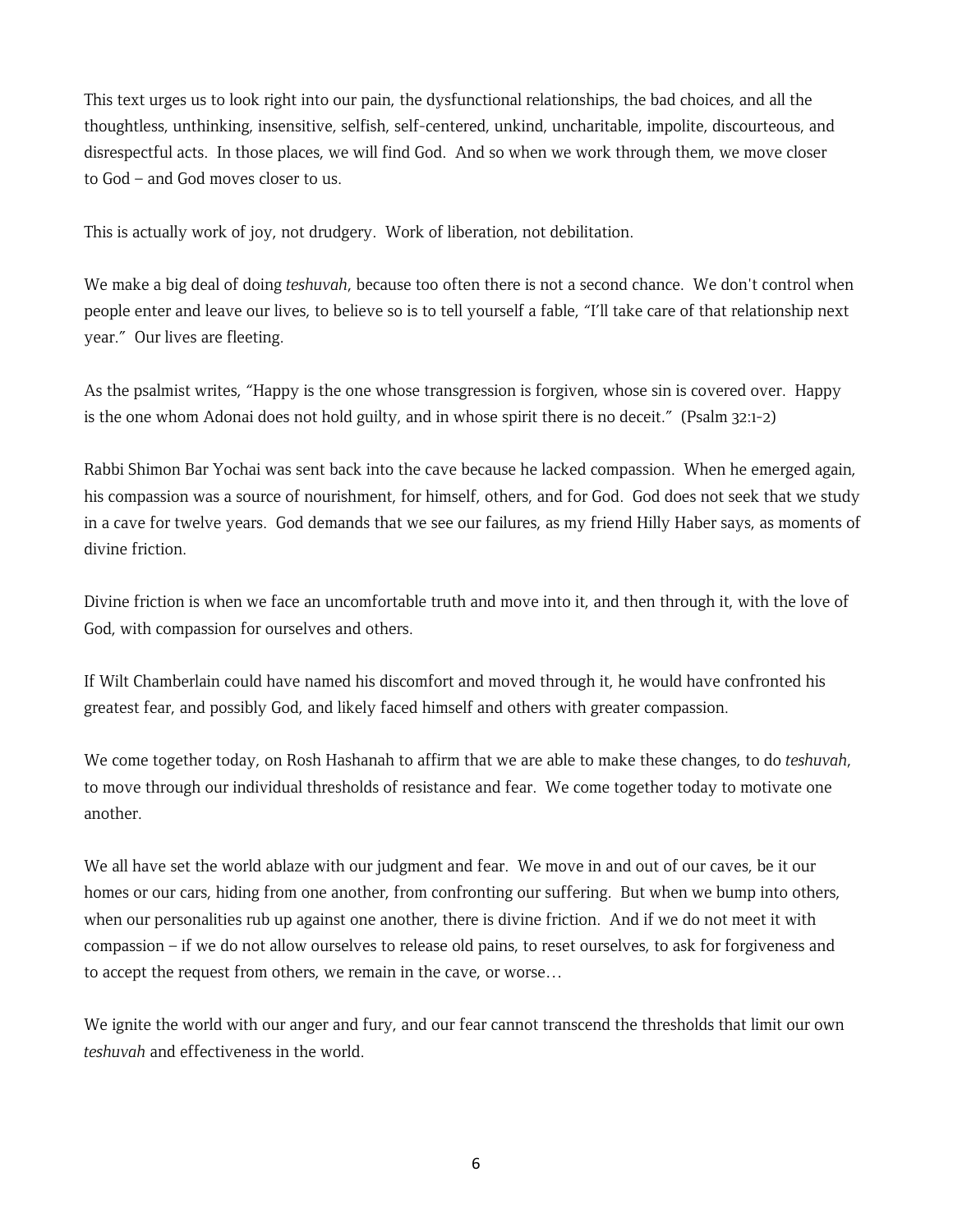This text urges us to look right into our pain, the dysfunctional relationships, the bad choices, and all the thoughtless, unthinking, insensitive, selfish, self-centered, unkind, uncharitable, impolite, discourteous, and disrespectful acts. In those places, we will find God. And so when we work through them, we move closer to God – and God moves closer to us.

This is actually work of joy, not drudgery. Work of liberation, not debilitation.

We make a big deal of doing *teshuvah*, because too often there is not a second chance. We don't control when people enter and leave our lives, to believe so is to tell yourself a fable, "I'll take care of that relationship next year." Our lives are fleeting.

As the psalmist writes, "Happy is the one whose transgression is forgiven, whose sin is covered over. Happy is the one whom Adonai does not hold guilty, and in whose spirit there is no deceit." (Psalm 32:1-2)

Rabbi Shimon Bar Yochai was sent back into the cave because he lacked compassion. When he emerged again, his compassion was a source of nourishment, for himself, others, and for God. God does not seek that we study in a cave for twelve years. God demands that we see our failures, as my friend Hilly Haber says, as moments of divine friction.

Divine friction is when we face an uncomfortable truth and move into it, and then through it, with the love of God, with compassion for ourselves and others.

If Wilt Chamberlain could have named his discomfort and moved through it, he would have confronted his greatest fear, and possibly God, and likely faced himself and others with greater compassion.

We come together today, on Rosh Hashanah to affirm that we are able to make these changes, to do *teshuvah*, to move through our individual thresholds of resistance and fear. We come together today to motivate one another.

We all have set the world ablaze with our judgment and fear. We move in and out of our caves, be it our homes or our cars, hiding from one another, from confronting our suffering. But when we bump into others, when our personalities rub up against one another, there is divine friction. And if we do not meet it with compassion – if we do not allow ourselves to release old pains, to reset ourselves, to ask for forgiveness and to accept the request from others, we remain in the cave, or worse…

We ignite the world with our anger and fury, and our fear cannot transcend the thresholds that limit our own *teshuvah* and effectiveness in the world.